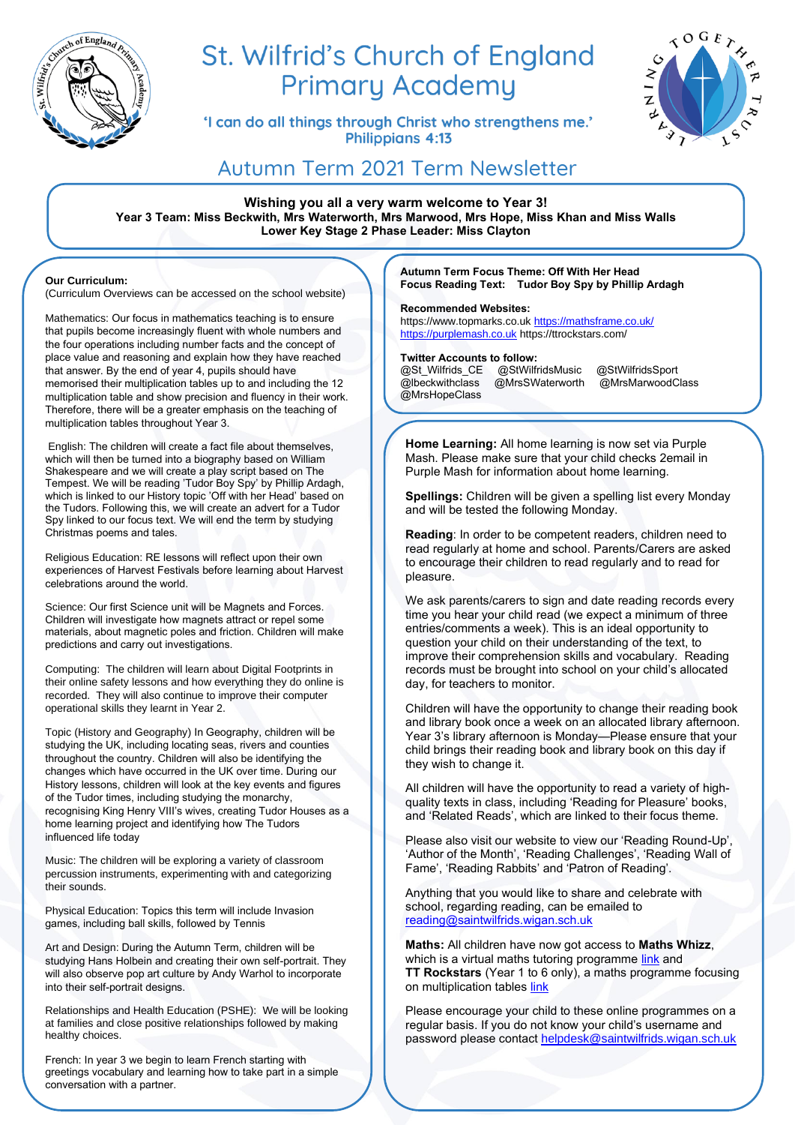

# St. Wilfrid's Church of England **Primary Academy**

'I can do all things through Christ who strengthens me.' **Philippians 4:13** 



## Autumn Term 2021 Term Newsletter

**Wishing you all a very warm welcome to Year 3! Year 3 Team: Miss Beckwith, Mrs Waterworth, Mrs Marwood, Mrs Hope, Miss Khan and Miss Walls Lower Key Stage 2 Phase Leader: Miss Clayton**

### **Our Curriculum:**

(Curriculum Overviews can be accessed on the school website)

Mathematics: Our focus in mathematics teaching is to ensure that pupils become increasingly fluent with whole numbers and the four operations including number facts and the concept of place value and reasoning and explain how they have reached that answer. By the end of year 4, pupils should have memorised their multiplication tables up to and including the 12 multiplication table and show precision and fluency in their work. Therefore, there will be a greater emphasis on the teaching of multiplication tables throughout Year 3.

English: The children will create a fact file about themselves, which will then be turned into a biography based on William Shakespeare and we will create a play script based on The Tempest. We will be reading 'Tudor Boy Spy' by Phillip Ardagh, which is linked to our History topic 'Off with her Head' based on the Tudors. Following this, we will create an advert for a Tudor Spy linked to our focus text. We will end the term by studying Christmas poems and tales.

Religious Education: RE lessons will reflect upon their own experiences of Harvest Festivals before learning about Harvest celebrations around the world.

Science: Our first Science unit will be Magnets and Forces. Children will investigate how magnets attract or repel some materials, about magnetic poles and friction. Children will make predictions and carry out investigations.

Computing: The children will learn about Digital Footprints in their online safety lessons and how everything they do online is recorded. They will also continue to improve their computer operational skills they learnt in Year 2.

Topic (History and Geography) In Geography, children will be studying the UK, including locating seas, rivers and counties throughout the country. Children will also be identifying the changes which have occurred in the UK over time. During our History lessons, children will look at the key events and figures of the Tudor times, including studying the monarchy, recognising King Henry VIII's wives, creating Tudor Houses as a home learning project and identifying how The Tudors influenced life today

Music: The children will be exploring a variety of classroom percussion instruments, experimenting with and categorizing their sounds.

Physical Education: Topics this term will include Invasion games, including ball skills, followed by Tennis

Art and Design: During the Autumn Term, children will be studying Hans Holbein and creating their own self-portrait. They will also observe pop art culture by Andy Warhol to incorporate into their self-portrait designs.

Relationships and Health Education (PSHE): We will be looking at families and close positive relationships followed by making healthy choices.

French: In year 3 we begin to learn French starting with greetings vocabulary and learning how to take part in a simple conversation with a partner.

**Autumn Term Focus Theme: Off With Her Head Focus Reading Text: Tudor Boy Spy by Phillip Ardagh**

### **Recommended Websites:**

https://www.topmarks.co.uk [https://mathsframe.co.uk/](https://mathsframe.co.uk/%20https:/purplemash.co.uk)  [https://purplemash.co.uk](https://mathsframe.co.uk/%20https:/purplemash.co.uk) https://ttrockstars.com/

**Twitter Accounts to follow:**<br>@St\_Wilfrids\_CE\_\_@StWilfridsMusic @St\_Wilfrids\_CE @StWilfridsMusic @StWilfridsSport<br>@Ibeckwithclass @MrsSWaterworth @MrsMarwoodC @MrsMarwoodClass @MrsHopeClass

Mash. Please make sure that your child checks 2email in Purple Mash for information about home learning. **Home Learning:** All home learning is now set via Purple

**Spellings:** Children will be given a spelling list every Monday and will be tested the following Monday.

**Reading**: In order to be competent readers, children need to read regularly at home and school. Parents/Carers are asked to encourage their children to read regularly and to read for pleasure.

We ask parents/carers to sign and date reading records every time you hear your child read (we expect a minimum of three entries/comments a week). This is an ideal opportunity to question your child on their understanding of the text, to improve their comprehension skills and vocabulary. Reading records must be brought into school on your child's allocated day, for teachers to monitor.

Children will have the opportunity to change their reading book and library book once a week on an allocated library afternoon. Year 3's library afternoon is Monday—Please ensure that your child brings their reading book and library book on this day if they wish to change it.

All children will have the opportunity to read a variety of highquality texts in class, including 'Reading for Pleasure' books, and 'Related Reads', which are linked to their focus theme.

Please also visit our website to view our 'Reading Round-Up', 'Author of the Month', 'Reading Challenges', 'Reading Wall of Fame', 'Reading Rabbits' and 'Patron of Reading'.

Anything that you would like to share and celebrate with school, regarding reading, can be emailed to [reading@saintwilfrids.wigan.sch.uk](mailto:reading@saintwilfrids.wigan.sch.uk)

**Maths:** All children have now got access to **Maths Whizz**, which is a virtual maths tutoring programme [link](https://www.whizz.com/login/) and **TT Rockstars** (Year 1 to 6 only), a maths programme focusing on multiplication tables [link](https://play.ttrockstars.com/auth/school/student)

Please encourage your child to these online programmes on a regular basis. If you do not know your child's username and password please contact [helpdesk@saintwilfrids.wigan.sch.uk](mailto:helpdesk@saintwilfrids.wigan.sch.uk)